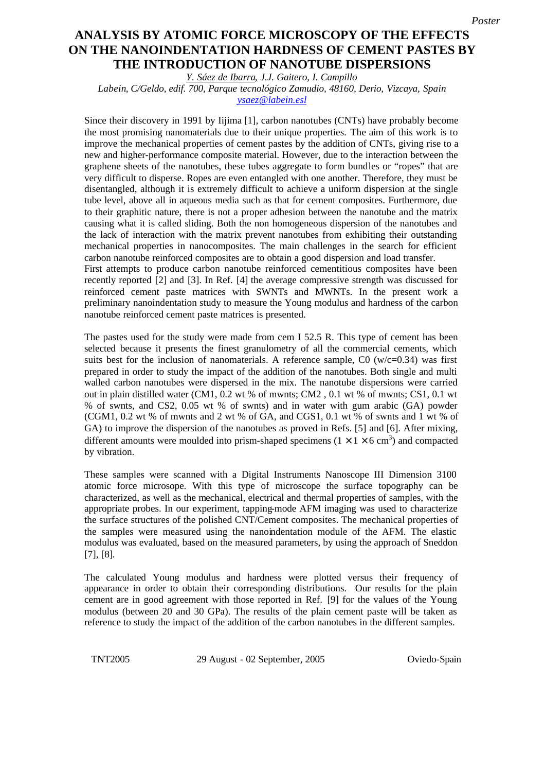## ON THE NANOINDENTATION HARDNESS OF CEMENT PASTES BY **cement pastes by the introduction of nanotube dispersions THE INTRODUCTION OF NANOTUBE DISPERSIONS** *Poster* **ANALYSIS BY ATOMIC FORCE MICROSCOPY OF THE EFFECTS**

*Y. Sáez de Ibarra, J.J. Gaitero, I. Campillo*

*Labein, C/Geldo, edif. 700, Parque tecnológico Zamudio, 48160, Derio, Vizcaya, Spain ysaez@labein.esl*

Since their discovery in 1991 by Iijima [1], carbon nanotubes (CNTs) have probably become the most promising nanomaterials due to their unique properties. The aim of this work is to improve the mechanical properties of cement pastes by the addition of CNTs, giving rise to a new and higher-performance composite material. However, due to the interaction between the graphene sheets of the nanotubes, these tubes aggregate to form bundles or "ropes" that are very difficult to disperse. Ropes are even entangled with one another. Therefore, they must be disentangled, although it is extremely difficult to achieve a uniform dispersion at the single tube level, above all in aqueous media such as that for cement composites. Furthermore, due to their graphitic nature, there is not a proper adhesion between the nanotube and the matrix causing what it is called sliding. Both the non homogeneous dispersion of the nanotubes and the lack of interaction with the matrix prevent nanotubes from exhibiting their outstanding mechanical properties in nanocomposites. The main challenges in the search for efficient carbon nanotube reinforced composites are to obtain a good dispersion and load transfer. First attempts to produce carbon nanotube reinforced cementitious composites have been

recently reported [2] and [3]. In Ref. [4] the average compressive strength was discussed for reinforced cement paste matrices with SWNTs and MWNTs. In the present work a preliminary nanoindentation study to measure the Young modulus and hardness of the carbon nanotube reinforced cement paste matrices is presented.

The pastes used for the study were made from cem I 52.5 R. This type of cement has been selected because it presents the finest granulometry of all the commercial cements, which suits best for the inclusion of nanomaterials. A reference sample,  $C0$  (w/c=0.34) was first prepared in order to study the impact of the addition of the nanotubes. Both single and multi walled carbon nanotubes were dispersed in the mix. The nanotube dispersions were carried out in plain distilled water (CM1, 0.2 wt % of mwnts; CM2 , 0.1 wt % of mwnts; CS1, 0.1 wt % of swnts, and CS2, 0.05 wt % of swnts) and in water with gum arabic (GA) powder (CGM1,  $0.2$  wt % of mwnts and 2 wt % of GA, and CGS1,  $0.1$  wt % of swnts and 1 wt % of GA) to improve the dispersion of the nanotubes as proved in Refs. [5] and [6]. After mixing, different amounts were moulded into prism-shaped specimens ( $1 \times 1 \times 6$  cm<sup>3</sup>) and compacted by vibration.

These samples were scanned with a Digital Instruments Nanoscope III Dimension 3100 atomic force microsope. With this type of microscope the surface topography can be characterized, as well as the mechanical, electrical and thermal properties of samples, with the appropriate probes. In our experiment, tapping-mode AFM imaging was used to characterize the surface structures of the polished CNT/Cement composites. The mechanical properties of the samples were measured using the nanoindentation module of the AFM. The elastic modulus was evaluated, based on the measured parameters, by using the approach of Sneddon [7], [8].

The calculated Young modulus and hardness were plotted versus their frequency of appearance in order to obtain their corresponding distributions. Our results for the plain cement are in good agreement with those reported in Ref. [9] for the values of the Young modulus (between 20 and 30 GPa). The results of the plain cement paste will be taken as reference to study the impact of the addition of the carbon nanotubes in the different samples.

TNT2005 29 August - 02 September, 2005 Oviedo-Spain